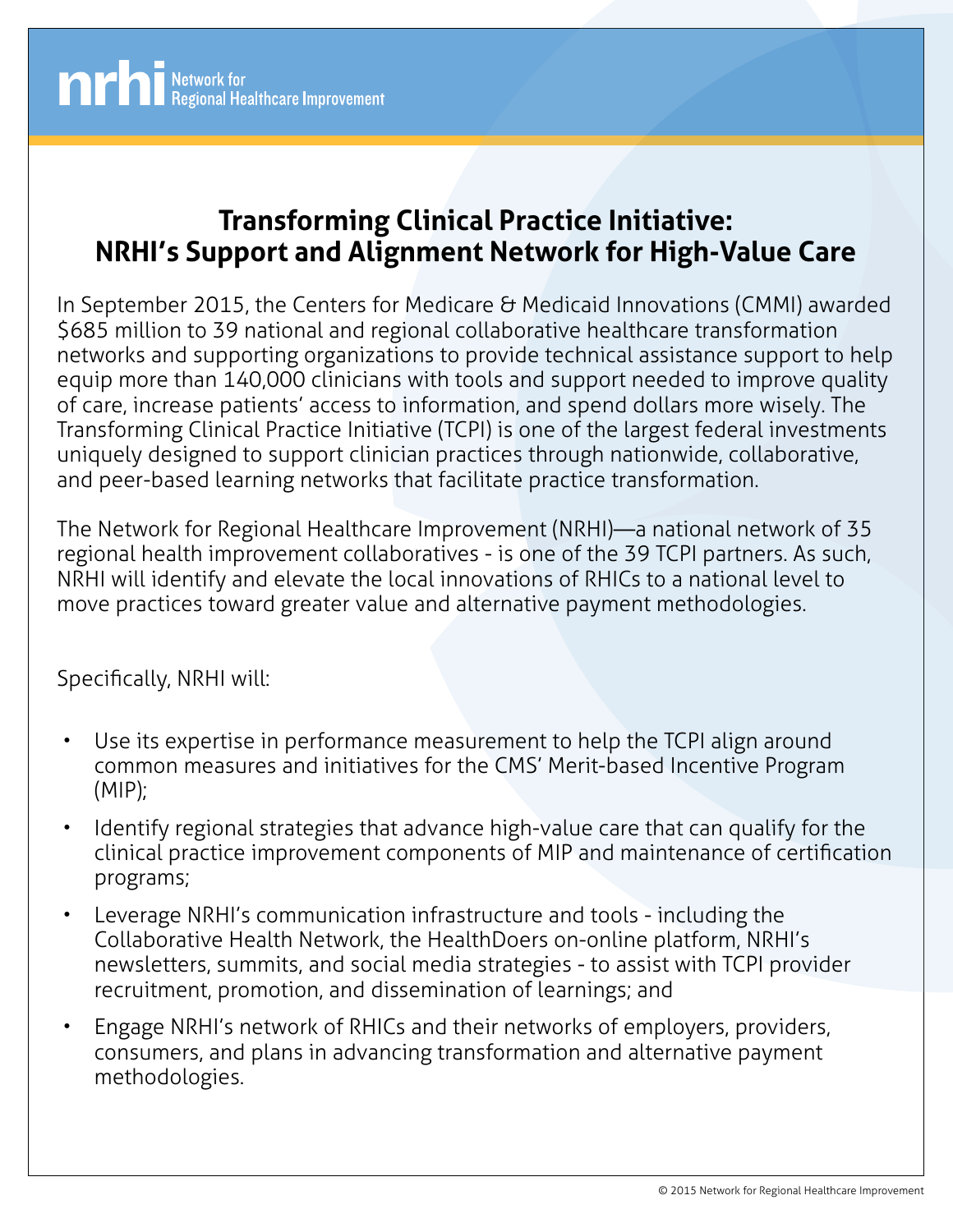

## **Transforming Clinical Practice Initiative: NRHI's Support and Alignment Network for High-Value Care**

In September 2015, the Centers for Medicare & Medicaid Innovations (CMMI) awarded \$685 million to 39 national and regional collaborative healthcare transformation networks and supporting organizations to provide technical assistance support to help equip more than 140,000 clinicians with tools and support needed to improve quality of care, increase patients' access to information, and spend dollars more wisely. The Transforming Clinical Practice Initiative (TCPI) is one of the largest federal investments uniquely designed to support clinician practices through nationwide, collaborative, and peer-based learning networks that facilitate practice transformation.

The Network for Regional Healthcare Improvement (NRHI)—a national network of 35 regional health improvement collaboratives - is one of the 39 TCPI partners. As such, NRHI will identify and elevate the local innovations of RHICs to a national level to move practices toward greater value and alternative payment methodologies.

## Specifically, NRHI will:

- Use its expertise in performance measurement to help the TCPI align around common measures and initiatives for the CMS' Merit-based Incentive Program (MIP);
- Identify regional strategies that advance high-value care that can qualify for the clinical practice improvement components of MIP and maintenance of certification programs;
- Leverage NRHI's communication infrastructure and tools including the Collaborative Health Network, the HealthDoers on-online platform, NRHI's newsletters, summits, and social media strategies - to assist with TCPI provider recruitment, promotion, and dissemination of learnings; and
- Engage NRHI's network of RHICs and their networks of employers, providers, consumers, and plans in advancing transformation and alternative payment methodologies.